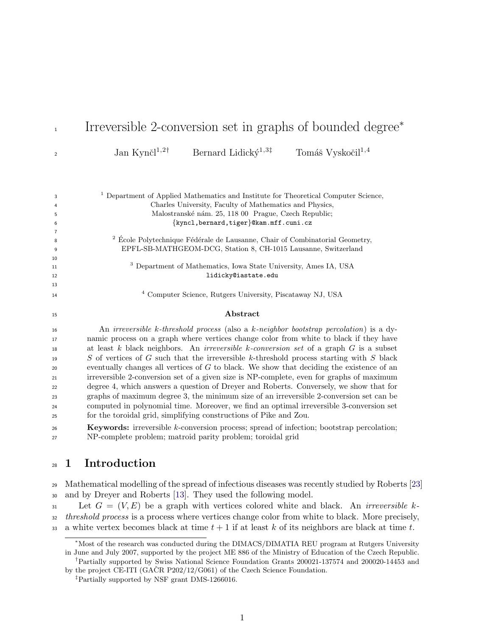| $\mathbf{1}$   | Irreversible 2-conversion set in graphs of bounded degree <sup>*</sup>                             |
|----------------|----------------------------------------------------------------------------------------------------|
| $\overline{2}$ | Jan Kynč $l^{1,2\dagger}$<br>Bernard Lidický <sup>1,3‡</sup><br>Tomáš Vyskočil <sup>1,4</sup>      |
|                |                                                                                                    |
| 3              | <sup>1</sup> Department of Applied Mathematics and Institute for Theoretical Computer Science,     |
| 4              | Charles University, Faculty of Mathematics and Physics,                                            |
| 5              | Malostranské nám. 25, 118 00 Prague, Czech Republic;                                               |
| 6              | {kyncl, bernard, tiger}@kam.mff.cuni.cz                                                            |
| $\overline{7}$ | $^2$ École Polytechnique Fédérale de Lausanne, Chair of Combinatorial Geometry,                    |
| 8<br>9         | EPFL-SB-MATHGEOM-DCG, Station 8, CH-1015 Lausanne, Switzerland                                     |
| 10             |                                                                                                    |
| 11             | <sup>3</sup> Department of Mathematics, Iowa State University, Ames IA, USA                        |
| 12             | lidicky@iastate.edu                                                                                |
| 13             |                                                                                                    |
| 14             | <sup>4</sup> Computer Science, Rutgers University, Piscataway NJ, USA                              |
| 15             | Abstract                                                                                           |
| 16             | An <i>irreversible k</i> -threshold process (also a $k$ -neighbor bootstrap percolation) is a dy-  |
| 17             | namic process on a graph where vertices change color from white to black if they have              |
| 18             | at least k black neighbors. An <i>irreversible k-conversion set</i> of a graph $G$ is a subset     |
| 19             | S of vertices of G such that the irreversible k-threshold process starting with S black            |
| 20             | eventually changes all vertices of $G$ to black. We show that deciding the existence of an         |
| 21             | irreversible 2-conversion set of a given size is NP-complete, even for graphs of maximum           |
| 22             | degree 4, which answers a question of Dreyer and Roberts. Conversely, we show that for             |
| 23             | graphs of maximum degree 3, the minimum size of an irreversible 2-conversion set can be            |
| 24             | computed in polynomial time. Moreover, we find an optimal irreversible 3-conversion set            |
| 25             | for the toroidal grid, simplifying constructions of Pike and Zou.                                  |
| 26             | <b>Keywords:</b> irreversible $k$ -conversion process; spread of infection; bootstrap percolation; |
| 27             | NP-complete problem; matroid parity problem; toroidal grid                                         |

# 1 Introduction

 Mathematical modelling of the spread of infectious diseases was recently studied by Roberts [\[23\]](#page-14-0) and by Dreyer and Roberts [\[13\]](#page-14-1). They used the following model.

 Let  $G = (V, E)$  be a graph with vertices colored white and black. An *irreversible k-*32 threshold process is a process where vertices change color from white to black. More precisely,

33 a white vertex becomes black at time  $t + 1$  if at least k of its neighbors are black at time t.

<sup>∗</sup>Most of the research was conducted during the DIMACS/DIMATIA REU program at Rutgers University in June and July 2007, supported by the project ME 886 of the Ministry of Education of the Czech Republic. †Partially supported by Swiss National Science Foundation Grants 200021-137574 and 200020-14453 and

by the project CE-ITI (GAČR P202/12/G061) of the Czech Science Foundation.

<sup>‡</sup>Partially supported by NSF grant DMS-1266016.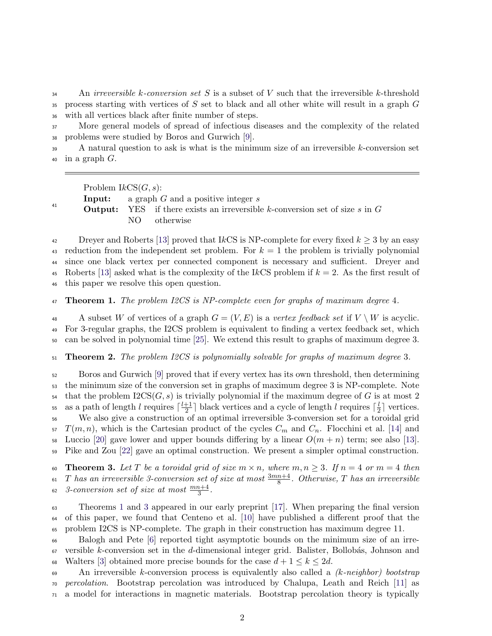$\Delta$ <sub>34</sub> An *irreversible k-conversion set S* is a subset of *V* such that the irreversible k-threshold  $35$  process starting with vertices of S set to black and all other white will result in a graph G <sup>36</sup> with all vertices black after finite number of steps.

<sup>37</sup> More general models of spread of infectious diseases and the complexity of the related <sup>38</sup> problems were studied by Boros and Gurwich [\[9\]](#page-13-0).

<sup>39</sup> A natural question to ask is what is the minimum size of an irreversible k-conversion set  $40$  in a graph  $G$ .

Problem  $lkCS(G, s)$ :

41

**Input:** a graph  $G$  and a positive integer  $s$ 

**Output:** YES if there exists an irreversible k-conversion set of size s in  $G$ NO otherwise

42 Dreyer and Roberts [\[13\]](#page-14-1) proved that IkCS is NP-complete for every fixed  $k \geq 3$  by an easy 43 reduction from the independent set problem. For  $k = 1$  the problem is trivially polynomial <sup>44</sup> since one black vertex per connected component is necessary and sufficient. Dreyer and 45 Roberts [\[13\]](#page-14-1) asked what is the complexity of the IkCS problem if  $k = 2$ . As the first result of <sup>46</sup> this paper we resolve this open question.

<span id="page-1-0"></span>47 **Theorem 1.** The problem I2CS is NP-complete even for graphs of maximum degree 4.

48 A subset W of vertices of a graph  $G = (V, E)$  is a vertex feedback set if  $V \setminus W$  is acyclic. <sup>49</sup> For 3-regular graphs, the I2CS problem is equivalent to finding a vertex feedback set, which <sup>50</sup> can be solved in polynomial time [\[25\]](#page-15-0). We extend this result to graphs of maximum degree 3.

<span id="page-1-2"></span> $51$  Theorem 2. The problem I2CS is polynomially solvable for graphs of maximum degree 3.

<sup>52</sup> Boros and Gurwich [\[9\]](#page-13-0) proved that if every vertex has its own threshold, then determining <sup>53</sup> the minimum size of the conversion set in graphs of maximum degree 3 is NP-complete. Note that the problem  $2CS(G, s)$  is trivially polynomial if the maximum degree of G is at most 2 as a path of length l requires  $\lceil \frac{l+1}{2} \rceil$  $\frac{+1}{2}$ ] black vertices and a cycle of length l requires  $\lceil \frac{l}{2} \rceil$ <sup>55</sup> as a path of length l requires  $\lceil \frac{l+1}{2} \rceil$  black vertices and a cycle of length l requires  $\lceil \frac{l}{2} \rceil$  vertices. <sup>56</sup> We also give a construction of an optimal irreversible 3-conversion set for a toroidal grid  $57 T(m, n)$ , which is the Cartesian product of the cycles  $C_m$  and  $C_n$ . Flocchini et al. [\[14\]](#page-14-2) and 58 Luccio [\[20\]](#page-14-3) gave lower and upper bounds differing by a linear  $O(m + n)$  term; see also [\[13\]](#page-14-1). <sup>59</sup> Pike and Zou [\[22\]](#page-14-4) gave an optimal construction. We present a simpler optimal construction.

<span id="page-1-1"></span>60 Theorem 3. Let T be a toroidal grid of size  $m \times n$ , where  $m, n \geq 3$ . If  $n = 4$  or  $m = 4$  then <sup>61</sup> T has an irreversible 3-conversion set of size at most  $\frac{3mn+4}{8}$ . Otherwise, T has an irreversible  $\substack{3\text{-}conversion set of size at most } \frac{mn+4}{3}.$ 

<sup>63</sup> Theorems [1](#page-1-0) and [3](#page-1-1) appeared in our early preprint [\[17\]](#page-14-5). When preparing the final version <sup>64</sup> of this paper, we found that Centeno et al. [\[10\]](#page-13-1) have published a different proof that the <sup>65</sup> problem I2CS is NP-complete. The graph in their construction has maximum degree 11.

<sup>66</sup> Balogh and Pete [\[6\]](#page-13-2) reported tight asymptotic bounds on the minimum size of an irre- $67$  versible k-conversion set in the d-dimensional integer grid. Balister, Bollobás, Johnson and 68 Walters [\[3\]](#page-13-3) obtained more precise bounds for the case  $d+1 \leq k \leq 2d$ .

 $\epsilon_{\text{9}}$  An irreversible k-conversion process is equivalently also called a (k-neighbor) bootstrap <sup>70</sup> percolation. Bootstrap percolation was introduced by Chalupa, Leath and Reich [\[11\]](#page-13-4) as <sup>71</sup> a model for interactions in magnetic materials. Bootstrap percolation theory is typically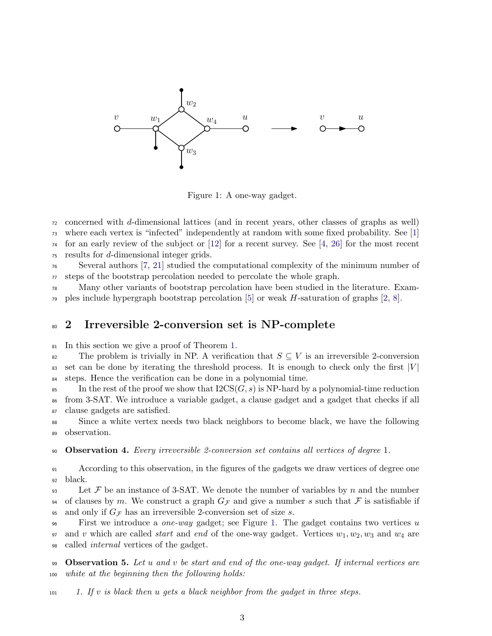

<span id="page-2-0"></span>Figure 1: A one-way gadget.

<sup>72</sup> concerned with d-dimensional lattices (and in recent years, other classes of graphs as well) <sup>73</sup> where each vertex is "infected" independently at random with some fixed probability. See [\[1\]](#page-13-5)

 $74$  for an early review of the subject or [\[12\]](#page-14-6) for a recent survey. See [\[4,](#page-13-6) [26\]](#page-15-1) for the most recent

 $75$  results for d-dimensional integer grids.

<sup>76</sup> Several authors [\[7,](#page-13-7) [21\]](#page-14-7) studied the computational complexity of the minimum number of <sup>77</sup> steps of the bootstrap percolation needed to percolate the whole graph.

<sup>78</sup> Many other variants of bootstrap percolation have been studied in the literature. Exam- $\gamma$  ples include hypergraph bootstrap percolation [\[5\]](#page-13-8) or weak H-saturation of graphs [\[2,](#page-13-9) [8\]](#page-13-10).

# <sup>80</sup> 2 Irreversible 2-conversion set is NP-complete

<sup>81</sup> In this section we give a proof of Theorem [1.](#page-1-0)

82 The problem is trivially in NP. A verification that  $S \subseteq V$  is an irreversible 2-conversion  $\mathcal{B}$  set can be done by iterating the threshold process. It is enough to check only the first  $|V|$ <sup>84</sup> steps. Hence the verification can be done in a polynomial time.

 $\mathcal{B}$  In the rest of the proof we show that  $\text{I2CS}(G, s)$  is NP-hard by a polynomial-time reduction <sup>86</sup> from 3-SAT. We introduce a variable gadget, a clause gadget and a gadget that checks if all <sup>87</sup> clause gadgets are satisfied.

<sup>88</sup> Since a white vertex needs two black neighbors to become black, we have the following <sup>89</sup> observation.

<span id="page-2-1"></span><sup>90</sup> Observation 4. Every irreversible 2-conversion set contains all vertices of degree 1.

<sup>91</sup> According to this observation, in the figures of the gadgets we draw vertices of degree one <sup>92</sup> black.

 $\mathcal{P}$ <sub>93</sub> Let F be an instance of 3-SAT. We denote the number of variables by n and the number 94 of clauses by m. We construct a graph  $G_{\mathcal{F}}$  and give a number s such that  $\mathcal F$  is satisfiable if 95 and only if  $G_{\mathcal{F}}$  has an irreversible 2-conversion set of size s.

 $\epsilon_{96}$  First we introduce a *one-way* gadget; see Figure [1.](#page-2-0) The gadget contains two vertices u 97 and v which are called *start* and end of the one-way gadget. Vertices  $w_1, w_2, w_3$  and  $w_4$  are <sup>98</sup> called internal vertices of the gadget.

99 **Observation 5.** Let u and v be start and end of the one-way gadget. If internal vertices are <sup>100</sup> white at the beginning then the following holds:

101 1. If v is black then u gets a black neighbor from the gadget in three steps.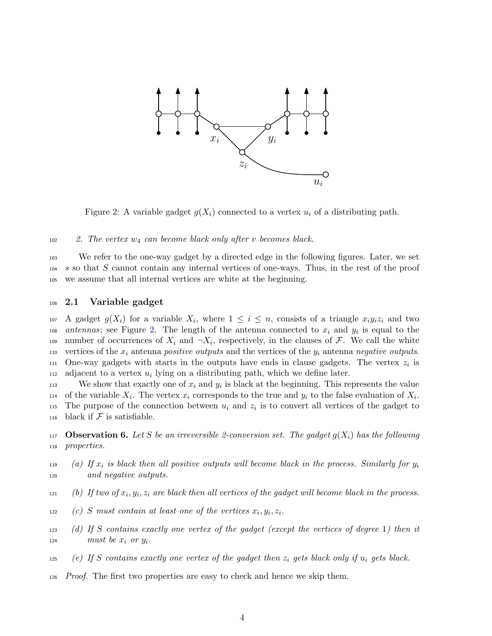

<span id="page-3-0"></span>Figure 2: A variable gadget  $g(X_i)$  connected to a vertex  $u_i$  of a distributing path.

 $102$  2. The vertex  $w_4$  can become black only after v becomes black.

<sup>103</sup> We refer to the one-way gadget by a directed edge in the following figures. Later, we set <sup>104</sup> s so that S cannot contain any internal vertices of one-ways. Thus, in the rest of the proof <sup>105</sup> we assume that all internal vertices are white at the beginning.

#### <sup>106</sup> 2.1 Variable gadget

107 A gadget  $g(X_i)$  for a variable  $X_i$ , where  $1 \leq i \leq n$ , consists of a triangle  $x_i y_i z_i$  and two  $108$  antennas; see Figure [2.](#page-3-0) The length of the antenna connected to  $x_i$  and  $y_i$  is equal to the number of occurrences of  $X_i$  and  $\neg X_i$ , respectively, in the clauses of F. We call the white 110 vertices of the  $x_i$  antenna positive outputs and the vertices of the  $y_i$  antenna negative outputs. 111 One-way gadgets with starts in the outputs have ends in clause gadgets. The vertex  $z_i$  is  $112$  adjacent to a vertex  $u_i$  lying on a distributing path, which we define later.

113 We show that exactly one of  $x_i$  and  $y_i$  is black at the beginning. This represents the value 114 of the variable  $X_i$ . The vertex  $x_i$  corresponds to the true and  $y_i$  to the false evaluation of  $X_i$ . 115 The purpose of the connection between  $u_i$  and  $z_i$  is to convert all vertices of the gadget to 116 black if  $\mathcal F$  is satisfiable.

<span id="page-3-1"></span>117 **Observation 6.** Let S be an irreversible 2-conversion set. The gadget  $g(X_i)$  has the following <sup>118</sup> properties.

- (a) If  $x_i$  is black then all positive outputs will become black in the process. Similarly for  $y_i$ 119 <sup>120</sup> and negative outputs.
- $\mu$ <sub>121</sub> (b) If two of  $x_i, y_i, z_i$  are black then all vertices of the gadget will become black in the process.
- $\alpha$  (c) S must contain at least one of the vertices  $x_i, y_i, z_i$ .
- <sup>123</sup> (d) If S contains exactly one vertex of the gadget (except the vertices of degree 1) then it  $124$  must be  $x_i$  or  $y_i$ .
- 125 (e) If S contains exactly one vertex of the gadget then  $z_i$  gets black only if  $u_i$  gets black.
- <sup>126</sup> Proof. The first two properties are easy to check and hence we skip them.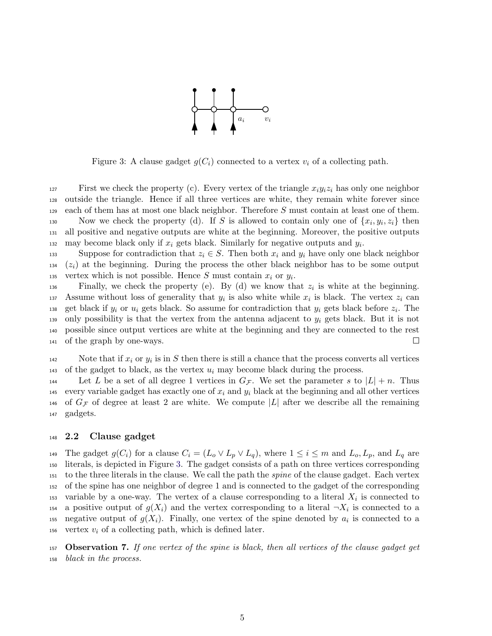

<span id="page-4-0"></span>Figure 3: A clause gadget  $g(C_i)$  connected to a vertex  $v_i$  of a collecting path.

127 First we check the property (c). Every vertex of the triangle  $x_i y_i z_i$  has only one neighbor <sup>128</sup> outside the triangle. Hence if all three vertices are white, they remain white forever since <sup>129</sup> each of them has at most one black neighbor. Therefore S must contain at least one of them. 130 Now we check the property (d). If S is allowed to contain only one of  $\{x_i, y_i, z_i\}$  then <sup>131</sup> all positive and negative outputs are white at the beginning. Moreover, the positive outputs as may become black only if  $x_i$  gets black. Similarly for negative outputs and  $y_i$ .

133 Suppose for contradiction that  $z_i \in S$ . Then both  $x_i$  and  $y_i$  have only one black neighbor  $134$  ( $z<sub>i</sub>$ ) at the beginning. During the process the other black neighbor has to be some output 135 vertex which is not possible. Hence S must contain  $x_i$  or  $y_i$ .

 $\sum_{136}$  Finally, we check the property (e). By (d) we know that  $z_i$  is white at the beginning. 137 Assume without loss of generality that  $y_i$  is also white while  $x_i$  is black. The vertex  $z_i$  can 138 get black if  $y_i$  or  $u_i$  gets black. So assume for contradiction that  $y_i$  gets black before  $z_i$ . The 139 only possibility is that the vertex from the antenna adjacent to  $y_i$  gets black. But it is not <sup>140</sup> possible since output vertices are white at the beginning and they are connected to the rest <sup>141</sup> of the graph by one-ways.  $\Box$ 

Note that if  $x_i$  or  $y_i$  is in S then there is still a chance that the process converts all vertices 143 of the gadget to black, as the vertex  $u_i$  may become black during the process.

144 Let L be a set of all degree 1 vertices in  $G_{\mathcal{F}}$ . We set the parameter s to  $|L| + n$ . Thus 145 every variable gadget has exactly one of  $x_i$  and  $y_i$  black at the beginning and all other vertices <sup>146</sup> of  $G_{\mathcal{F}}$  of degree at least 2 are white. We compute |L| after we describe all the remaining <sup>147</sup> gadgets.

#### <sup>148</sup> 2.2 Clause gadget

149 The gadget  $g(C_i)$  for a clause  $C_i = (L_o \vee L_p \vee L_q)$ , where  $1 \leq i \leq m$  and  $L_o, L_p$ , and  $L_q$  are <sup>150</sup> literals, is depicted in Figure [3.](#page-4-0) The gadget consists of a path on three vertices corresponding <sup>151</sup> to the three literals in the clause. We call the path the spine of the clause gadget. Each vertex <sup>152</sup> of the spine has one neighbor of degree 1 and is connected to the gadget of the corresponding 153 variable by a one-way. The vertex of a clause corresponding to a literal  $X_i$  is connected to <sup>154</sup> a positive output of  $g(X_i)$  and the vertex corresponding to a literal  $\neg X_i$  is connected to a 155 negative output of  $g(X_i)$ . Finally, one vertex of the spine denoted by  $a_i$  is connected to a 156 vertex  $v_i$  of a collecting path, which is defined later.

<sup>157</sup> Observation 7. If one vertex of the spine is black, then all vertices of the clause gadget get <sup>158</sup> black in the process.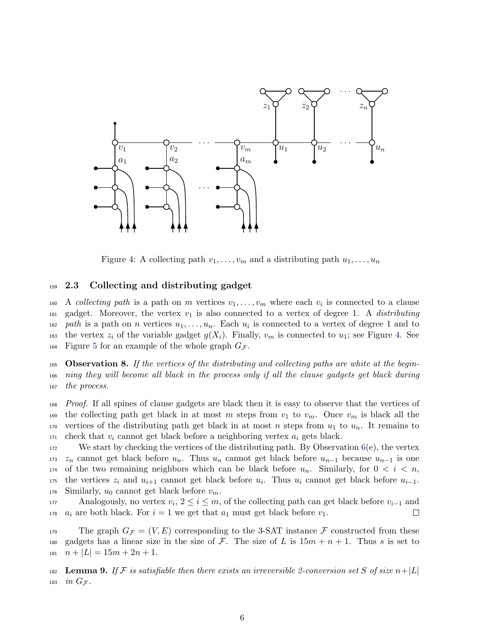

<span id="page-5-0"></span>Figure 4: A collecting path  $v_1, \ldots, v_m$  and a distributing path  $u_1, \ldots, u_n$ 

#### <sup>159</sup> 2.3 Collecting and distributing gadget

160 A collecting path is a path on m vertices  $v_1, \ldots, v_m$  where each  $v_i$  is connected to a clause 161 gadget. Moreover, the vertex  $v_1$  is also connected to a vertex of degree 1. A *distributing* <sup>162</sup> path is a path on n vertices  $u_1, \ldots, u_n$ . Each  $u_i$  is connected to a vertex of degree 1 and to 163 the vertex  $z_i$  of the variable gadget  $g(X_i)$ . Finally,  $v_m$  is connected to  $u_1$ ; see Figure [4.](#page-5-0) See 164 Figure [5](#page-6-0) for an example of the whole graph  $G_{\mathcal{F}}$ .

<span id="page-5-1"></span>165 **Observation 8.** If the vertices of the distributing and collecting paths are white at the begin-<sup>166</sup> ning they will become all black in the process only if all the clause gadgets get black during <sup>167</sup> the process.

<sup>168</sup> Proof. If all spines of clause gadgets are black then it is easy to observe that the vertices of 169 the collecting path get black in at most m steps from  $v_1$  to  $v_m$ . Once  $v_m$  is black all the 170 vertices of the distributing path get black in at most n steps from  $u_1$  to  $u_n$ . It remains to  $171$  check that  $v_i$  cannot get black before a neighboring vertex  $a_i$  gets black.

 $172$  We start by checking the vertices of the distributing path. By Observation  $6(e)$  $6(e)$ , the vertex 173  $z_n$  cannot get black before  $u_n$ . Thus  $u_n$  cannot get black before  $u_{n-1}$  because  $u_{n-1}$  is one 174 of the two remaining neighbors which can be black before  $u_n$ . Similarly, for  $0 < i < n$ ,  $_{175}$  the vertices  $z_i$  and  $u_{i+1}$  cannot get black before  $u_i$ . Thus  $u_i$  cannot get black before  $u_{i-1}$ . 176 Similarly,  $u_0$  cannot get black before  $v_m$ .

Analogously, no vertex  $v_i, 2 \leq i \leq m$ , of the collecting path can get black before  $v_{i-1}$  and <sup>178</sup>  $a_i$  are both black. For  $i = 1$  we get that  $a_1$  must get black before  $v_1$ . □

179 The graph  $G_{\mathcal{F}} = (V, E)$  corresponding to the 3-SAT instance  $\mathcal F$  constructed from these 180 gadgets has a linear size in the size of F. The size of L is  $15m + n + 1$ . Thus s is set to  $n + |L| = 15m + 2n + 1.$ 

182 Lemma 9. If F is satisfiable then there exists an irreversible 2-conversion set S of size  $n+|L|$ 183 in  $G_{\mathcal{F}}$ .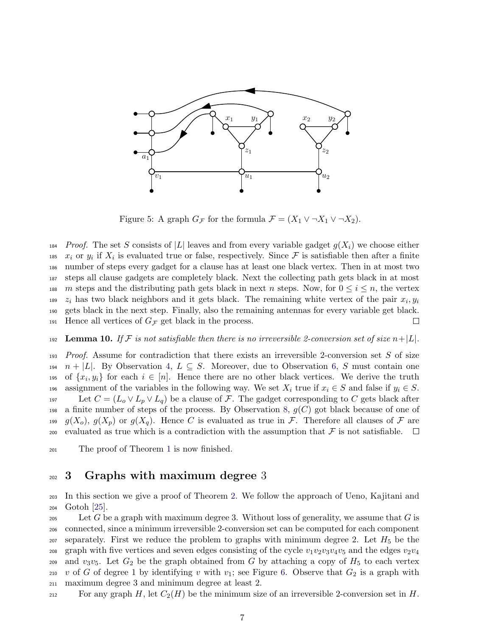

<span id="page-6-0"></span>Figure 5: A graph  $G_F$  for the formula  $\mathcal{F} = (X_1 \vee \neg X_1 \vee \neg X_2)$ .

<sup>184</sup> Proof. The set S consists of |L| leaves and from every variable gadget  $g(X_i)$  we choose either <sup>185</sup>  $x_i$  or  $y_i$  if  $X_i$  is evaluated true or false, respectively. Since  $\mathcal F$  is satisfiable then after a finite <sup>186</sup> number of steps every gadget for a clause has at least one black vertex. Then in at most two <sup>187</sup> steps all clause gadgets are completely black. Next the collecting path gets black in at most 188 m steps and the distributing path gets black in next n steps. Now, for  $0 \le i \le n$ , the vertex  $z_i$  has two black neighbors and it gets black. The remaining white vertex of the pair  $x_i, y_i$ 189 <sup>190</sup> gets black in the next step. Finally, also the remaining antennas for every variable get black. 191 Hence all vertices of  $G_{\mathcal{F}}$  get black in the process.  $\Box$ 

192 Lemma 10. If F is not satisfiable then there is no irreversible 2-conversion set of size  $n+|L|$ .

 $193$  Proof. Assume for contradiction that there exists an irreversible 2-conversion set S of size 194  $n + |L|$ . By Observation [4,](#page-2-1)  $L \subseteq S$ . Moreover, due to Observation [6,](#page-3-1) S must contain one <sup>195</sup> of  $\{x_i, y_i\}$  for each  $i \in [n]$ . Hence there are no other black vertices. We derive the truth 196 assignment of the variables in the following way. We set  $X_i$  true if  $x_i \in S$  and false if  $y_i \in S$ . 197 Let  $C = (L_0 \vee L_p \vee L_q)$  be a clause of F. The gadget corresponding to C gets black after 198 a finite number of steps of the process. By Observation [8,](#page-5-1)  $g(C)$  got black because of one of 199  $g(X_o)$ ,  $g(X_p)$  or  $g(X_q)$ . Hence C is evaluated as true in F. Therefore all clauses of F are 200 evaluated as true which is a contradiction with the assumption that  $\mathcal F$  is not satisfiable.  $\Box$ 

<sup>201</sup> The proof of Theorem [1](#page-1-0) is now finished.

### 202 3 Graphs with maximum degree 3

<sup>203</sup> In this section we give a proof of Theorem [2.](#page-1-2) We follow the approach of Ueno, Kajitani and <sup>204</sup> Gotoh [\[25\]](#page-15-0).

205 Let G be a graph with maximum degree 3. Without loss of generality, we assume that G is <sup>206</sup> connected, since a minimum irreversible 2-conversion set can be computed for each component 207 separately. First we reduce the problem to graphs with minimum degree 2. Let  $H_5$  be the 208 graph with five vertices and seven edges consisting of the cycle  $v_1v_2v_3v_4v_5$  and the edges  $v_2v_4$ 209 and  $v_3v_5$ . Let  $G_2$  be the graph obtained from G by attaching a copy of  $H_5$  to each vertex 210 v of G of degree 1 by identifying v with  $v_1$ ; see Figure [6.](#page-7-0) Observe that  $G_2$  is a graph with <sup>211</sup> maximum degree 3 and minimum degree at least 2.

212 For any graph H, let  $C_2(H)$  be the minimum size of an irreversible 2-conversion set in H.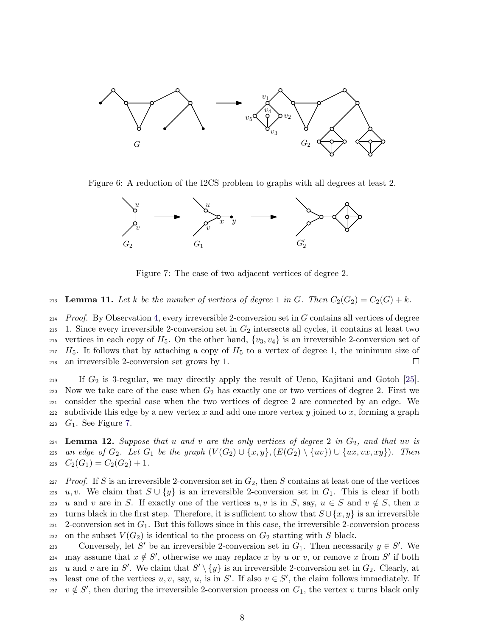

Figure 6: A reduction of the I2CS problem to graphs with all degrees at least 2.

<span id="page-7-0"></span>

<span id="page-7-1"></span>Figure 7: The case of two adjacent vertices of degree 2.

<span id="page-7-2"></span>213 **Lemma 11.** Let k be the number of vertices of degree 1 in G. Then  $C_2(G_2) = C_2(G) + k$ .

 $214$  Proof. By Observation [4,](#page-2-1) every irreversible 2-conversion set in G contains all vertices of degree 215 1. Since every irreversible 2-conversion set in  $G_2$  intersects all cycles, it contains at least two 216 vertices in each copy of  $H_5$ . On the other hand,  $\{v_3, v_4\}$  is an irreversible 2-conversion set of  $H_5$ . It follows that by attaching a copy of  $H_5$  to a vertex of degree 1, the minimum size of <sup>218</sup> an irreversible 2-conversion set grows by 1.  $\Box$ 

219 If  $G_2$  is 3-regular, we may directly apply the result of Ueno, Kajitani and Gotoh [\[25\]](#page-15-0). 220 Now we take care of the case when  $G_2$  has exactly one or two vertices of degree 2. First we <sup>221</sup> consider the special case when the two vertices of degree 2 are connected by an edge. We 222 subdivide this edge by a new vertex x and add one more vertex y joined to x, forming a graph  $_{223}$   $G_1$ . See Figure [7.](#page-7-1)

 $224$  Lemma 12. Suppose that u and v are the only vertices of degree 2 in  $G_2$ , and that uv is 225 an edge of  $G_2$ . Let  $G_1$  be the graph  $(V(G_2) \cup \{x,y\}, (E(G_2) \setminus \{uv\}) \cup \{ux, vx, xy\})$ . Then  $c_{26}$   $C_{2}(G_{1}) = C_{2}(G_{2}) + 1.$ 

 $227$  Proof. If S is an irreversible 2-conversion set in  $G_2$ , then S contains at least one of the vertices 228 u, v. We claim that  $S \cup \{y\}$  is an irreversible 2-conversion set in  $G_1$ . This is clear if both 229 u and v are in S. If exactly one of the vertices u, v is in S, say,  $u \in S$  and  $v \notin S$ , then x 230 turns black in the first step. Therefore, it is sufficient to show that  $S \cup \{x, y\}$  is an irreversible 231 2-conversion set in  $G_1$ . But this follows since in this case, the irreversible 2-conversion process 232 on the subset  $V(G_2)$  is identical to the process on  $G_2$  starting with S black.

conversely, let S' be an irreversible 2-conversion set in  $G_1$ . Then necessarily  $y \in S'$ . We 234 may assume that  $x \notin S'$ , otherwise we may replace x by u or v, or remove x from S' if both 235 u and v are in S'. We claim that  $S' \setminus \{y\}$  is an irreversible 2-conversion set in  $G_2$ . Clearly, at least one of the vertices u, v, say, u, is in S'. If also  $v \in S'$ , the claim follows immediately. If 237  $v \notin S'$ , then during the irreversible 2-conversion process on  $G_1$ , the vertex v turns black only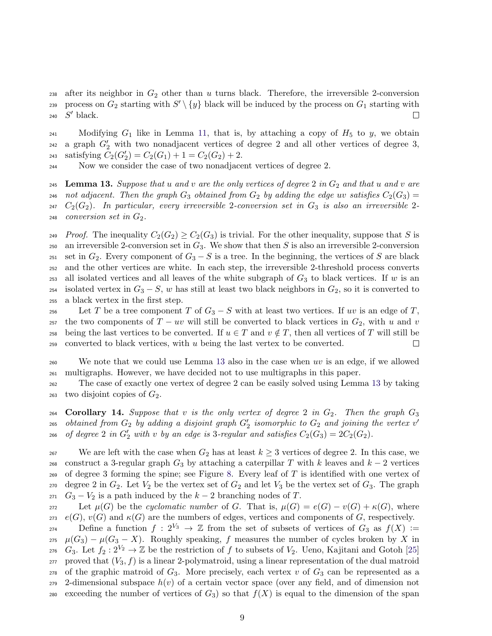238 after its neighbor in  $G_2$  other than u turns black. Therefore, the irreversible 2-conversion 239 process on  $G_2$  starting with  $S' \setminus \{y\}$  black will be induced by the process on  $G_1$  starting with 240  $S'$  black.  $\Box$ 

241 Modifying  $G_1$  like in Lemma [11,](#page-7-2) that is, by attaching a copy of  $H_5$  to y, we obtain <sup>242</sup> a graph  $G_2'$  with two nonadjacent vertices of degree 2 and all other vertices of degree 3, 243 satisfying  $C_2(G'_2) = C_2(G_1) + 1 = C_2(G_2) + 2$ .

<sup>244</sup> Now we consider the case of two nonadjacent vertices of degree 2.

<span id="page-8-0"></span>245 Lemma 13. Suppose that u and v are the only vertices of degree 2 in  $G_2$  and that u and v are 246 not adjacent. Then the graph  $G_3$  obtained from  $G_2$  by adding the edge uv satisfies  $C_2(G_3)$  =  $247$   $C_2(G_2)$ . In particular, every irreversible 2-conversion set in  $G_3$  is also an irreversible 2- $248$  conversion set in  $G_2$ .

249 Proof. The inequality  $C_2(G_2) \geq C_2(G_3)$  is trivial. For the other inequality, suppose that S is 250 an irreversible 2-conversion set in  $G_3$ . We show that then S is also an irreversible 2-conversion 251 set in  $G_2$ . Every component of  $G_3 - S$  is a tree. In the beginning, the vertices of S are black <sup>252</sup> and the other vertices are white. In each step, the irreversible 2-threshold process converts 253 all isolated vertices and all leaves of the white subgraph of  $G_3$  to black vertices. If w is an 254 isolated vertex in  $G_3 - S$ , w has still at least two black neighbors in  $G_2$ , so it is converted to <sup>255</sup> a black vertex in the first step.

256 Let T be a tree component T of  $G_3 - S$  with at least two vertices. If uv is an edge of T, 257 the two components of  $T - uv$  will still be converted to black vertices in  $G_2$ , with u and v 258 being the last vertices to be converted. If  $u \in T$  and  $v \notin T$ , then all vertices of T will still be  $259$  converted to black vertices, with u being the last vertex to be converted.  $\Box$ 

<sup>260</sup> We note that we could use Lemma [13](#page-8-0) also in the case when uv is an edge, if we allowed <sup>261</sup> multigraphs. However, we have decided not to use multigraphs in this paper.

<sup>262</sup> The case of exactly one vertex of degree 2 can be easily solved using Lemma [13](#page-8-0) by taking 263 two disjoint copies of  $G_2$ .

264 Corollary 14. Suppose that v is the only vertex of degree 2 in  $G_2$ . Then the graph  $G_3$ obtained from  $G_2$  by adding a disjoint graph  $G'_2$  isomorphic to  $G_2$  and joining the vertex v' 265 <sup>266</sup> of degree 2 in  $G'_2$  with v by an edge is 3-regular and satisfies  $C_2(G_3) = 2C_2(G_2)$ .

267 We are left with the case when  $G_2$  has at least  $k \geq 3$  vertices of degree 2. In this case, we 268 construct a 3-regular graph  $G_3$  by attaching a caterpillar T with k leaves and  $k-2$  vertices <sup>269</sup> of degree 3 forming the spine; see Figure [8.](#page-9-0) Every leaf of T is identified with one vertex of 270 degree 2 in  $G_2$ . Let  $V_2$  be the vertex set of  $G_2$  and let  $V_3$  be the vertex set of  $G_3$ . The graph 271  $G_3 - V_2$  is a path induced by the  $k - 2$  branching nodes of T.

272 Let  $\mu(G)$  be the cyclomatic number of G. That is,  $\mu(G) = e(G) - v(G) + \kappa(G)$ , where 273  $e(G), v(G)$  and  $\kappa(G)$  are the numbers of edges, vertices and components of G, respectively.

274 Define a function  $f : 2^{V_3} \to \mathbb{Z}$  from the set of subsets of vertices of  $G_3$  as  $f(X) :=$ 275  $\mu(G_3) - \mu(G_3 - X)$ . Roughly speaking, f measures the number of cycles broken by X in 276  $G_3$ . Let  $f_2: 2^{V_2} \to \mathbb{Z}$  be the restriction of f to subsets of  $V_2$ . Ueno, Kajitani and Gotoh [\[25\]](#page-15-0) 277 proved that  $(V_3, f)$  is a linear 2-polymatroid, using a linear representation of the dual matroid <sub>278</sub> of the graphic matroid of  $G_3$ . More precisely, each vertex v of  $G_3$  can be represented as a  $279$  2-dimensional subspace  $h(v)$  of a certain vector space (over any field, and of dimension not 280 exceeding the number of vertices of  $G_3$ ) so that  $f(X)$  is equal to the dimension of the span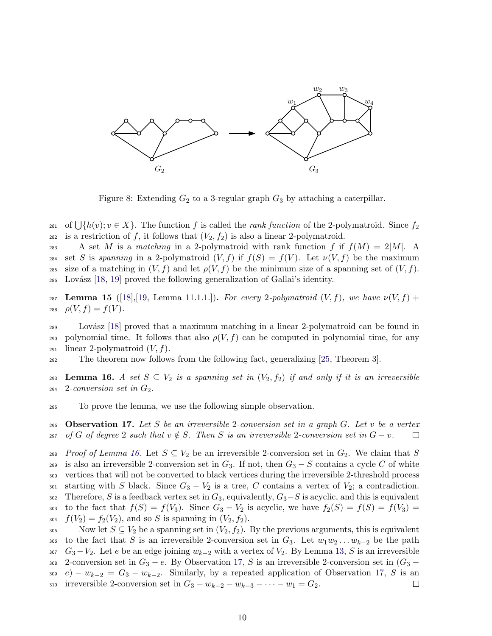

<span id="page-9-0"></span>Figure 8: Extending  $G_2$  to a 3-regular graph  $G_3$  by attaching a caterpillar.

281 of  $\bigcup \{h(v); v \in X\}$ . The function f is called the *rank function* of the 2-polymatroid. Since  $f_2$ 282 is a restriction of f, it follows that  $(V_2, f_2)$  is also a linear 2-polymatroid.

283 A set M is a matching in a 2-polymatroid with rank function f if  $f(M) = 2|M|$ . A 284 set S is spanning in a 2-polymatroid  $(V, f)$  if  $f(S) = f(V)$ . Let  $\nu(V, f)$  be the maximum 285 size of a matching in  $(V, f)$  and let  $\rho(V, f)$  be the minimum size of a spanning set of  $(V, f)$ .  $286$  Lovász [\[18,](#page-14-8) [19\]](#page-14-9) proved the following generalization of Gallai's identity.

287 Lemma 15  $([18],[19, \text{Lemma } 11.1.1.])$  $([18],[19, \text{Lemma } 11.1.1.])$  $([18],[19, \text{Lemma } 11.1.1.])$  $([18],[19, \text{Lemma } 11.1.1.])$  $([18],[19, \text{Lemma } 11.1.1.])$ . For every 2-polymatroid  $(V, f)$ , we have  $\nu(V, f)$  + 288  $\rho(V, f) = f(V)$ .

 $289$  Lovász [\[18\]](#page-14-8) proved that a maximum matching in a linear 2-polymatroid can be found in 290 polynomial time. It follows that also  $\rho(V, f)$  can be computed in polynomial time, for any 291 linear 2-polymatroid  $(V, f)$ .

<sup>292</sup> The theorem now follows from the following fact, generalizing [\[25,](#page-15-0) Theorem 3].

<span id="page-9-1"></span>293 Lemma 16. A set  $S \subseteq V_2$  is a spanning set in  $(V_2, f_2)$  if and only if it is an irreversible  $2-conversion set in G_2.$ 

<sup>295</sup> To prove the lemma, we use the following simple observation.

<span id="page-9-2"></span>296 Observation 17. Let S be an irreversible 2-conversion set in a graph  $G$ . Let v be a vertex 297 of G of degree 2 such that  $v \notin S$ . Then S is an irreversible 2-conversion set in  $G - v$ . □

298 Proof of Lemma [16.](#page-9-1) Let  $S \subseteq V_2$  be an irreversible 2-conversion set in  $G_2$ . We claim that S 299 is also an irreversible 2-conversion set in  $G_3$ . If not, then  $G_3 - S$  contains a cycle C of white <sup>300</sup> vertices that will not be converted to black vertices during the irreversible 2-threshold process 301 starting with S black. Since  $G_3 - V_2$  is a tree, C contains a vertex of  $V_2$ ; a contradiction. 302 Therefore, S is a feedback vertex set in  $G_3$ , equivalently,  $G_3-S$  is acyclic, and this is equivalent 303 to the fact that  $f(S) = f(V_3)$ . Since  $G_3 - V_2$  is acyclic, we have  $f_2(S) = f(S) = f(V_3)$ 304  $f(V_2) = f_2(V_2)$ , and so S is spanning in  $(V_2, f_2)$ .

305 Now let  $S \subseteq V_2$  be a spanning set in  $(V_2, f_2)$ . By the previous arguments, this is equivalent 306 to the fact that S is an irreversible 2-conversion set in  $G_3$ . Let  $w_1w_2 \ldots w_{k-2}$  be the path 307  $G_3 - V_2$ . Let e be an edge joining  $w_{k-2}$  with a vertex of  $V_2$ . By Lemma [13,](#page-8-0) S is an irreversible 308 2-conversion set in  $G_3 - e$ . By Observation [17,](#page-9-2) S is an irreversible 2-conversion set in  $(G_3 - e_1)$ 309 e) –  $w_{k-2} = G_3 - w_{k-2}$ . Similarly, by a repeated application of Observation [17,](#page-9-2) S is an 310 irreversible 2-conversion set in  $G_3 - w_{k-2} - w_{k-3} - \cdots - w_1 = G_2$ .  $\Box$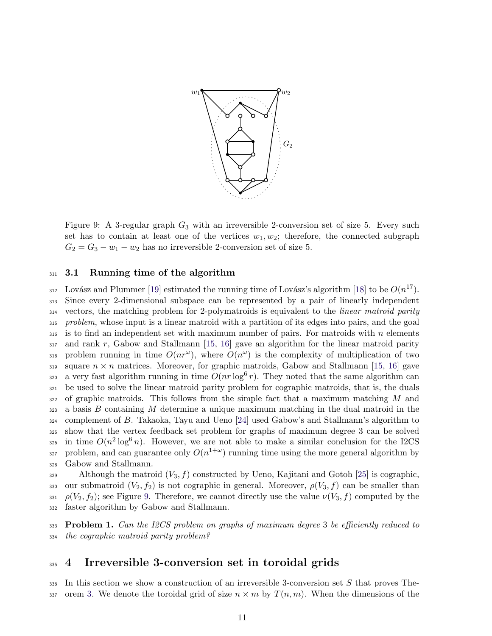

<span id="page-10-0"></span>Figure 9: A 3-regular graph  $G_3$  with an irreversible 2-conversion set of size 5. Every such set has to contain at least one of the vertices  $w_1, w_2$ ; therefore, the connected subgraph  $G_2 = G_3 - w_1 - w_2$  has no irreversible 2-conversion set of size 5.

#### 311 3.1 Running time of the algorithm

<sup>312</sup> Lovász and Plummer [\[19\]](#page-14-9) estimated the running time of Lovász's algorithm [\[18\]](#page-14-8) to be  $O(n^{17})$ . <sup>313</sup> Since every 2-dimensional subspace can be represented by a pair of linearly independent <sup>314</sup> vectors, the matching problem for 2-polymatroids is equivalent to the linear matroid parity 315 problem, whose input is a linear matroid with a partition of its edges into pairs, and the goal  $316$  is to find an independent set with maximum number of pairs. For matroids with n elements  $_{317}$  and rank r, Gabow and Stallmann [\[15,](#page-14-10) [16\]](#page-14-11) gave an algorithm for the linear matroid parity 318 problem running in time  $O(nr^{\omega})$ , where  $O(n^{\omega})$  is the complexity of multiplication of two 319 square  $n \times n$  matrices. Moreover, for graphic matroids, Gabow and Stallmann [\[15,](#page-14-10) [16\]](#page-14-11) gave <sup>320</sup> a very fast algorithm running in time  $O(nr \log^6 r)$ . They noted that the same algorithm can <sup>321</sup> be used to solve the linear matroid parity problem for cographic matroids, that is, the duals  $322$  of graphic matroids. This follows from the simple fact that a maximum matching M and  $323$  a basis B containing M determine a unique maximum matching in the dual matroid in the  $324$  complement of B. Takaoka, Tayu and Ueno [\[24\]](#page-14-12) used Gabow's and Stallmann's algorithm to <sup>325</sup> show that the vertex feedback set problem for graphs of maximum degree 3 can be solved 326 in time  $O(n^2 \log^6 n)$ . However, we are not able to make a similar conclusion for the I2CS 327 problem, and can guarantee only  $O(n^{1+\omega})$  running time using the more general algorithm by <sup>328</sup> Gabow and Stallmann.

329 Although the matroid  $(V_3, f)$  constructed by Ueno, Kajitani and Gotoh [\[25\]](#page-15-0) is cographic, 330 our submatroid  $(V_2, f_2)$  is not cographic in general. Moreover,  $\rho(V_3, f)$  can be smaller than 331  $\rho(V_2, f_2)$ ; see Figure [9.](#page-10-0) Therefore, we cannot directly use the value  $\nu(V_3, f)$  computed by the <sup>332</sup> faster algorithm by Gabow and Stallmann.

333 Problem 1. Can the I2CS problem on graphs of maximum degree 3 be efficiently reduced to <sup>334</sup> the cographic matroid parity problem?

## <sup>335</sup> 4 Irreversible 3-conversion set in toroidal grids

 $336$  In this section we show a construction of an irreversible 3-conversion set S that proves The-337 orem [3.](#page-1-1) We denote the toroidal grid of size  $n \times m$  by  $T(n, m)$ . When the dimensions of the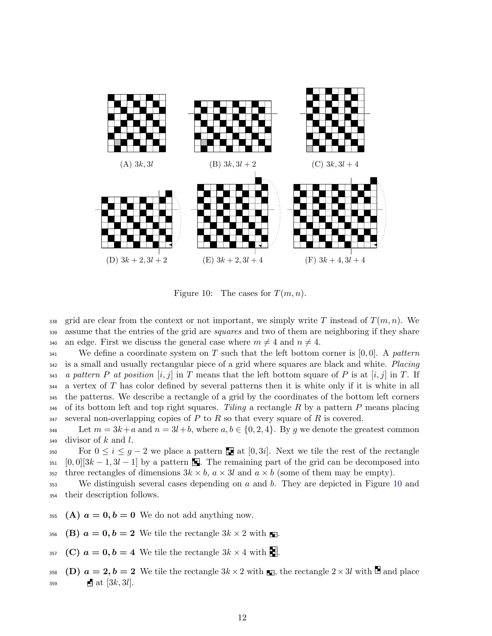

<span id="page-11-0"></span>Figure 10: The cases for  $T(m, n)$ .

338 grid are clear from the context or not important, we simply write T instead of  $T(m, n)$ . We 339 assume that the entries of the grid are *squares* and two of them are neighboring if they share 340 an edge. First we discuss the general case where  $m \neq 4$  and  $n \neq 4$ .

<sup>341</sup> We define a coordinate system on T such that the left bottom corner is [0,0]. A pattern <sup>342</sup> is a small and usually rectangular piece of a grid where squares are black and white. Placing 343 a pattern P at position  $[i, j]$  in T means that the left bottom square of P is at  $[i, j]$  in T. If <sup>344</sup> a vertex of T has color defined by several patterns then it is white only if it is white in all <sup>345</sup> the patterns. We describe a rectangle of a grid by the coordinates of the bottom left corners  $346$  of its bottom left and top right squares. Tiling a rectangle R by a pattern P means placing  $347$  several non-overlapping copies of P to R so that every square of R is covered.

348 Let  $m = 3k+a$  and  $n = 3l+b$ , where  $a, b \in \{0, 2, 4\}$ . By q we denote the greatest common  $349$  divisor of k and l.

350 For  $0 \leq i \leq g-2$  we place a pattern **at** [0, 3*i*]. Next we tile the rest of the rectangle 351  $[0,0][3k-1,3l-1]$  by a pattern . The remaining part of the grid can be decomposed into 352 three rectangles of dimensions  $3k \times b$ ,  $a \times 3l$  and  $a \times b$  (some of them may be empty).

 $353$  We distinguish several cases depending on a and b. They are depicted in Figure [10](#page-11-0) and <sup>354</sup> their description follows.

- 355 (A)  $a = 0, b = 0$  We do not add anything now.
- 356 (B)  $a = 0, b = 2$  We tile the rectangle  $3k \times 2$  with ...
- 357 (C)  $a = 0, b = 4$  We tile the rectangle  $3k \times 4$  with ...

358 (D)  $a = 2, b = 2$  We tile the rectangle  $3k \times 2$  with  $\blacksquare$ , the rectangle  $2 \times 3l$  with  $\blacksquare$  and place 359 **at** [3k, 3l].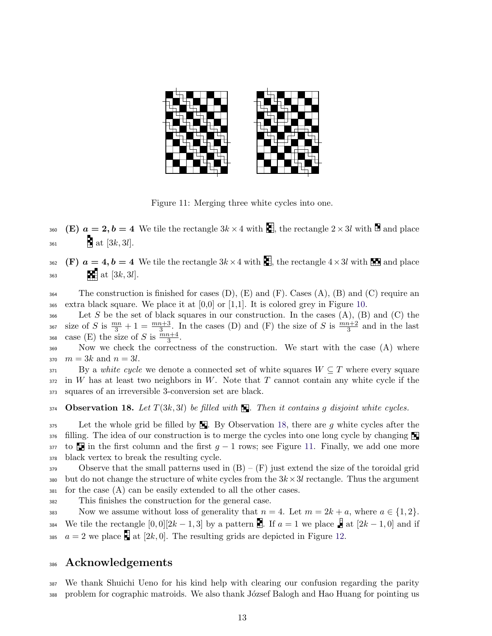

<span id="page-12-1"></span>Figure 11: Merging three white cycles into one.

360 (E)  $a = 2, b = 4$  We tile the rectangle  $3k \times 4$  with  $\Box$ , the rectangle  $2 \times 3l$  with  $\Box$  and place  $_{361}$  at [3k, 3l].

362 (F)  $a = 4, b = 4$  We tile the rectangle  $3k \times 4$  with  $\blacksquare$ , the rectangle  $4 \times 3l$  with  $\blacksquare$  and place  $363$  at [3k, 3l].

 $364$  The construction is finished for cases (D), (E) and (F). Cases (A), (B) and (C) require an 365 extra black square. We place it at  $[0,0]$  or [1,1]. It is colored grey in Figure [10.](#page-11-0)

366 Let S be the set of black squares in our construction. In the cases  $(A)$ ,  $(B)$  and  $(C)$  the <sup>367</sup> size of S is  $\frac{mn}{3}+1=\frac{mn+3}{3}$ . In the cases (D) and (F) the size of S is  $\frac{mn+2}{3}$  and in the last 368 case (E) the size of S is  $\frac{mn+4}{3}$ .

<sup>369</sup> Now we check the correctness of the construction. We start with the case (A) where 370  $m = 3k$  and  $n = 3l$ .

 $371$  By a white cycle we denote a connected set of white squares  $W \subseteq T$  where every square  $372$  in W has at least two neighbors in W. Note that T cannot contain any white cycle if the <sup>373</sup> squares of an irreversible 3-conversion set are black.

<span id="page-12-0"></span>374 Observation 18. Let  $T(3k, 3l)$  be filled with  $\blacksquare$ . Then it contains g disjoint white cycles.

 Let the whole grid be filled by  $\blacksquare$ . By Observation [18,](#page-12-0) there are g white cycles after the filling. The idea of our construction is to merge the cycles into one long cycle by changing to  $\blacksquare$  in the first column and the first  $g-1$  rows; see Figure [11.](#page-12-1) Finally, we add one more black vertex to break the resulting cycle.

379 Observe that the small patterns used in  $(B) - (F)$  just extend the size of the toroidal grid 380 but do not change the structure of white cycles from the  $3k \times 3l$  rectangle. Thus the argument  $381$  for the case (A) can be easily extended to all the other cases.

<sup>382</sup> This finishes the construction for the general case.

383 Now we assume without loss of generality that  $n = 4$ . Let  $m = 2k + a$ , where  $a \in \{1, 2\}$ . 384 We tile the rectangle  $[0,0][2k-1,3]$  by a pattern . If  $a=1$  we place  $\frac{6}{5}$  at  $[2k-1,0]$  and if 385  $a = 2$  we place  $\mathbb{F}$  at [2k, 0]. The resulting grids are depicted in Figure [12.](#page-13-11)

### <sup>386</sup> Acknowledgements

<sup>387</sup> We thank Shuichi Ueno for his kind help with clearing our confusion regarding the parity 388 problem for cographic matroids. We also thank József Balogh and Hao Huang for pointing us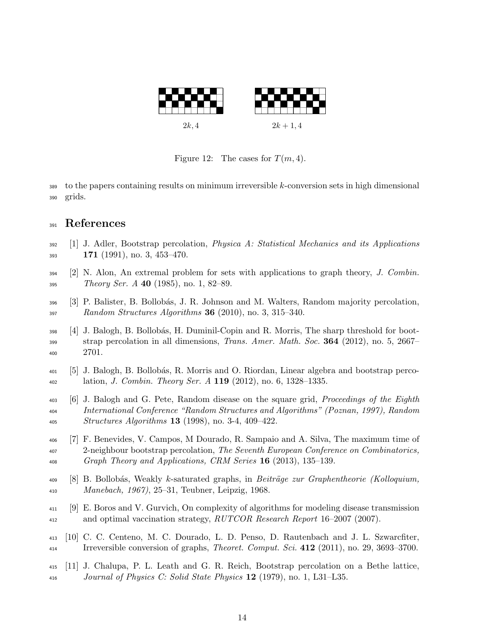

<span id="page-13-11"></span>Figure 12: The cases for  $T(m, 4)$ .

 to the papers containing results on minimum irreversible k-conversion sets in high dimensional grids.

## References

- <span id="page-13-5"></span> [1] J. Adler, Bootstrap percolation, *Physica A: Statistical Mechanics and its Applications* 171 (1991), no. 3, 453-470.
- <span id="page-13-9"></span> [2] N. Alon, An extremal problem for sets with applications to graph theory, J. Combin. *Theory Ser. A* **40** (1985), no. 1, 82–89.
- <span id="page-13-3"></span> [3] P. Balister, B. Bollob´as, J. R. Johnson and M. Walters, Random majority percolation, Random Structures Algorithms 36 (2010), no. 3, 315–340.
- <span id="page-13-6"></span> [4] J. Balogh, B. Bollob´as, H. Duminil-Copin and R. Morris, The sharp threshold for boot- strap percolation in all dimensions, *Trans. Amer. Math. Soc.* **364** (2012), no. 5, 2667– 2701.
- <span id="page-13-8"></span> [5] J. Balogh, B. Bollob´as, R. Morris and O. Riordan, Linear algebra and bootstrap perco- $\mu_{402}$  lation, *J. Combin. Theory Ser. A* 119 (2012), no. 6, 1328–1335.
- <span id="page-13-2"></span> [6] J. Balogh and G. Pete, Random disease on the square grid, Proceedings of the Eighth International Conference "Random Structures and Algorithms" (Poznan, 1997), Random Structures Algorithms 13 (1998), no. 3-4, 409–422.
- <span id="page-13-7"></span> [7] F. Benevides, V. Campos, M Dourado, R. Sampaio and A. Silva, The maximum time of 2-neighbour bootstrap percolation, The Seventh European Conference on Combinatorics, Graph Theory and Applications, CRM Series 16 (2013), 135–139.
- <span id="page-13-10"></span> $^{409}$  [8] B. Bollobás, Weakly k-saturated graphs, in *Beiträge zur Graphentheorie (Kolloquium*, Manebach, 1967), 25–31, Teubner, Leipzig, 1968.
- <span id="page-13-0"></span> [9] E. Boros and V. Gurvich, On complexity of algorithms for modeling disease transmission <sup>412</sup> and optimal vaccination strategy, RUTCOR Research Report 16–2007 (2007).
- <span id="page-13-1"></span> [10] C. C. Centeno, M. C. Dourado, L. D. Penso, D. Rautenbach and J. L. Szwarcfiter, Irreversible conversion of graphs, Theoret. Comput. Sci. 412 (2011), no. 29, 3693–3700.
- <span id="page-13-4"></span> [11] J. Chalupa, P. L. Leath and G. R. Reich, Bootstrap percolation on a Bethe lattice, Journal of Physics C: Solid State Physics 12 (1979), no. 1, L31–L35.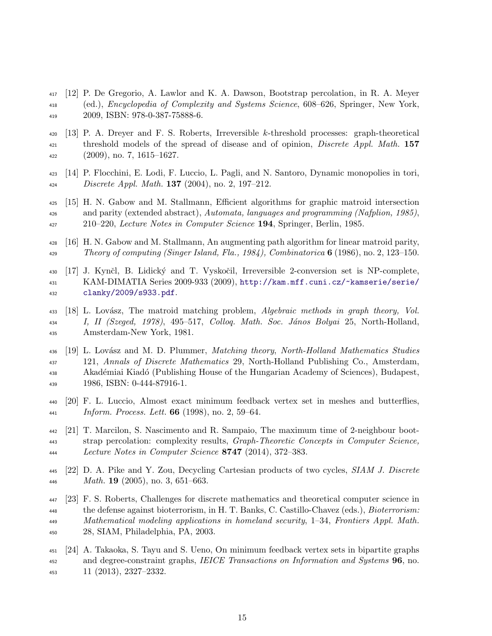- <span id="page-14-6"></span> [12] P. De Gregorio, A. Lawlor and K. A. Dawson, Bootstrap percolation, in R. A. Meyer (ed.), Encyclopedia of Complexity and Systems Science, 608–626, Springer, New York, 2009, ISBN: 978-0-387-75888-6.
- <span id="page-14-1"></span> [13] P. A. Dreyer and F. S. Roberts, Irreversible k-threshold processes: graph-theoretical <sup>421</sup> threshold models of the spread of disease and of opinion, *Discrete Appl. Math.* 157  $\mu_{22}$  (2009), no. 7, 1615–1627.
- <span id="page-14-2"></span> [14] P. Flocchini, E. Lodi, F. Luccio, L. Pagli, and N. Santoro, Dynamic monopolies in tori, Discrete Appl. Math. 137 (2004), no. 2, 197–212.
- <span id="page-14-10"></span> [15] H. N. Gabow and M. Stallmann, Efficient algorithms for graphic matroid intersection and parity (extended abstract), Automata, languages and programming (Nafplion, 1985), 210–220, Lecture Notes in Computer Science 194, Springer, Berlin, 1985.
- <span id="page-14-11"></span> [16] H. N. Gabow and M. Stallmann, An augmenting path algorithm for linear matroid parity, 429 Theory of computing (Singer Island, Fla., 1984), Combinatorica  $6(1986)$ , no. 2, 123–150.
- <span id="page-14-5"></span> [17] J. Kynˇcl, B. Lidick´y and T. Vyskoˇcil, Irreversible 2-conversion set is NP-complete, KAM-DIMATIA Series 2009-933 (2009), [http://kam.mff.cuni.cz/~kamserie/serie/](http://kam.mff.cuni.cz/~kamserie/serie/clanky/2009/s933.pdf) [clanky/2009/s933.pdf](http://kam.mff.cuni.cz/~kamserie/serie/clanky/2009/s933.pdf).
- <span id="page-14-8"></span> $\mu_{33}$  [18] L. Lovász, The matroid matching problem, Algebraic methods in graph theory, Vol. <sup>434</sup> I, II (Szeged, 1978), 495–517, Collog. Math. Soc. János Bolyai 25, North-Holland, Amsterdam-New York, 1981.
- <span id="page-14-9"></span>436 [19] L. Lovász and M. D. Plummer, Matching theory, North-Holland Mathematics Studies 121, Annals of Discrete Mathematics 29, North-Holland Publishing Co., Amsterdam, <sup>438</sup> Akadémiai Kiadó (Publishing House of the Hungarian Academy of Sciences), Budapest, 1986, ISBN: 0-444-87916-1.
- <span id="page-14-3"></span> [20] F. L. Luccio, Almost exact minimum feedback vertex set in meshes and butterflies, Inform. Process. Lett. 66 (1998), no. 2, 59–64.
- <span id="page-14-7"></span> [21] T. Marcilon, S. Nascimento and R. Sampaio, The maximum time of 2-neighbour boot- strap percolation: complexity results, Graph-Theoretic Concepts in Computer Science, Lecture Notes in Computer Science 8747 (2014), 372–383.
- <span id="page-14-4"></span> [22] D. A. Pike and Y. Zou, Decycling Cartesian products of two cycles, SIAM J. Discrete *Math.* **19** (2005), no. 3, 651–663.
- <span id="page-14-0"></span> [23] F. S. Roberts, Challenges for discrete mathematics and theoretical computer science in the defense against bioterrorism, in H. T. Banks, C. Castillo-Chavez (eds.), Bioterrorism: Mathematical modeling applications in homeland security, 1–34, Frontiers Appl. Math. 28, SIAM, Philadelphia, PA, 2003.
- <span id="page-14-12"></span> [24] A. Takaoka, S. Tayu and S. Ueno, On minimum feedback vertex sets in bipartite graphs <sup>452</sup> and degree-constraint graphs, *IEICE Transactions on Information and Systems* **96**, no.  $(2013)$ ,  $2327-2332$ .